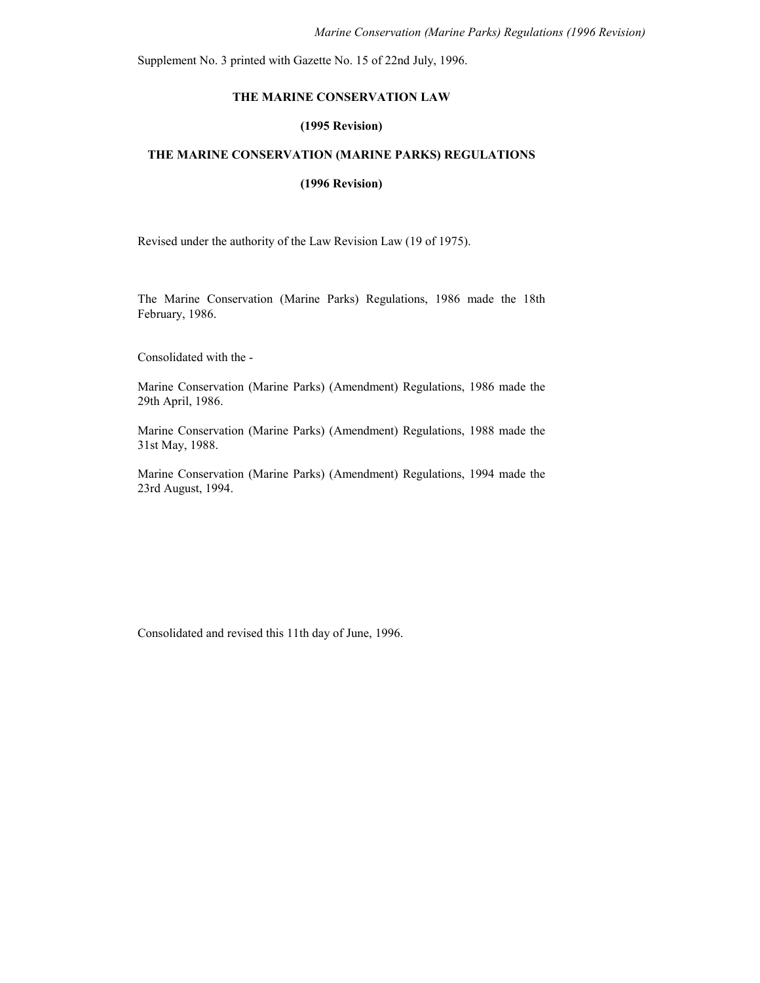Supplement No. 3 printed with Gazette No. 15 of 22nd July, 1996.

# THE MARINE CONSERVATION LAW

## (1995 Revision)

## THE MARINE CONSERVATION (MARINE PARKS) REGULATIONS

## (1996 Revision)

Revised under the authority of the Law Revision Law (19 of 1975).

The Marine Conservation (Marine Parks) Regulations, 1986 made the 18th February, 1986.

Consolidated with the -

Marine Conservation (Marine Parks) (Amendment) Regulations, 1986 made the 29th April, 1986.

Marine Conservation (Marine Parks) (Amendment) Regulations, 1988 made the 31st May, 1988.

Marine Conservation (Marine Parks) (Amendment) Regulations, 1994 made the 23rd August, 1994.

Consolidated and revised this 11th day of June, 1996.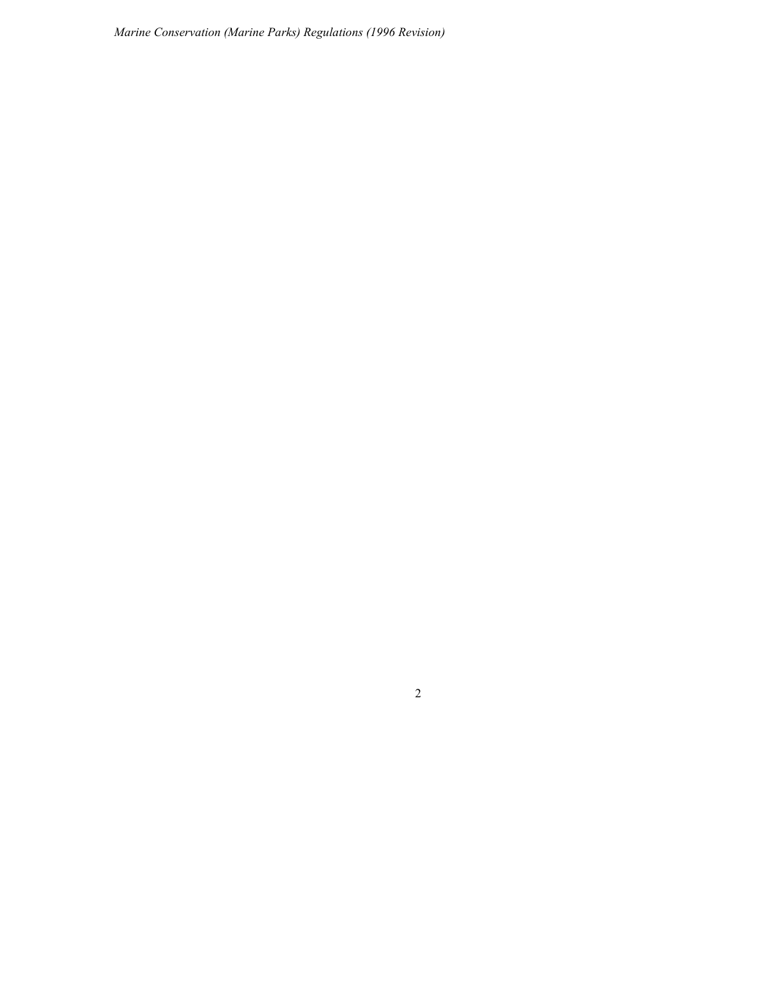$\overline{2}$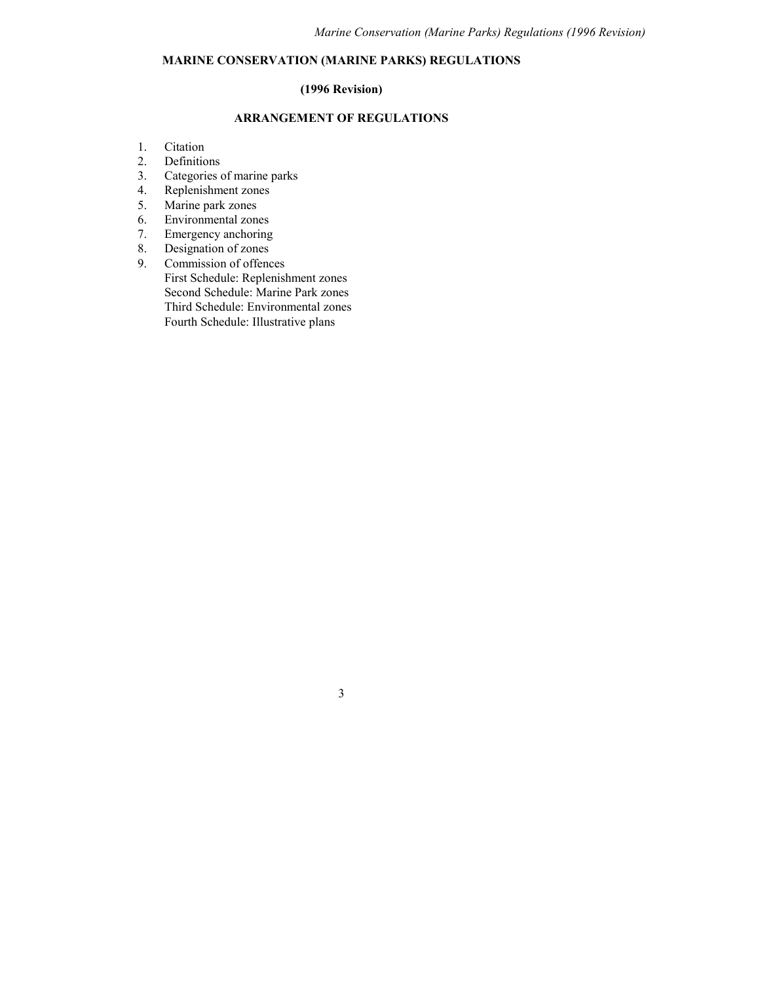# MARINE CONSERVATION (MARINE PARKS) REGULATIONS

# (1996 Revision)

# **ARRANGEMENT OF REGULATIONS**

- Citation  $1.$
- 2. Definitions
- $3.$ Categories of marine parks
- $4.$ Replenishment zones
- Marine park zones 5.
- Environmental zones 6.
- $7.$ Emergency anchoring
- Designation of zones 8.
- Commission of offences 9. First Schedule: Replenishment zones Second Schedule: Marine Park zones Third Schedule: Environmental zones Fourth Schedule: Illustrative plans

 $\overline{3}$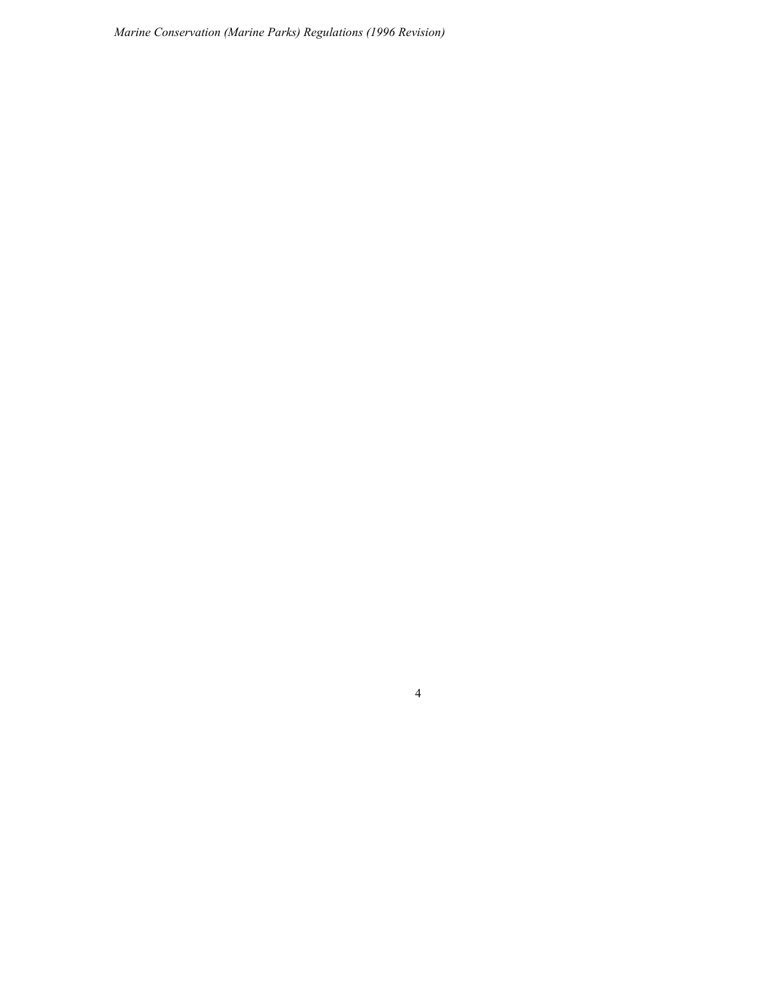$\overline{4}$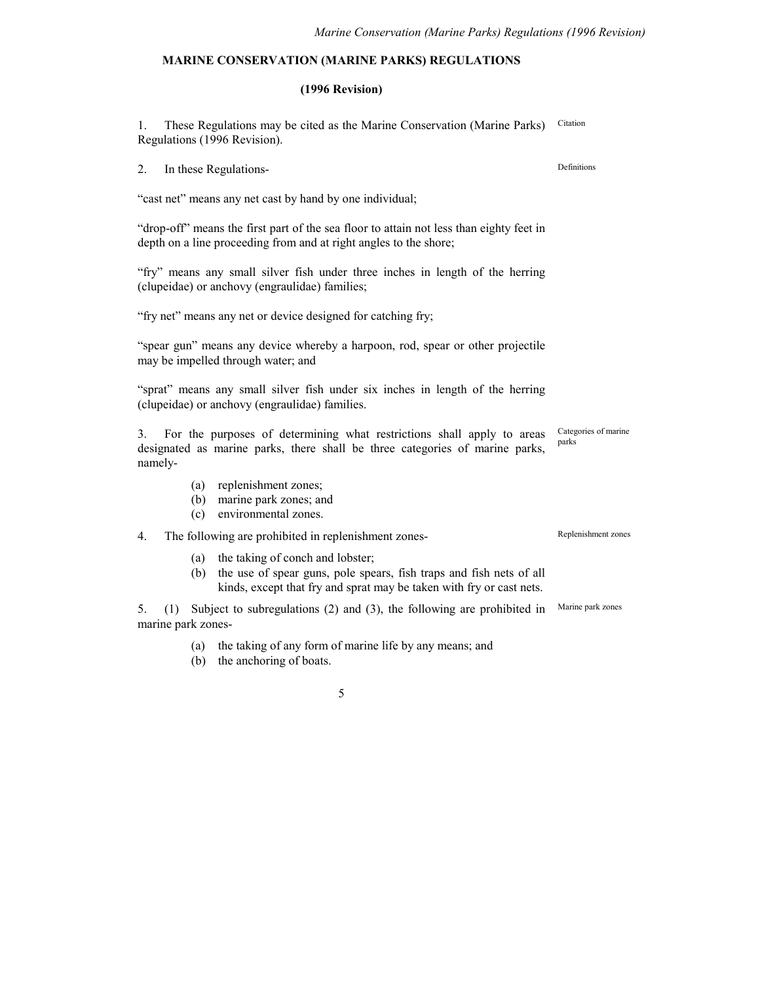## **MARINE CONSERVATION (MARINE PARKS) REGULATIONS**

## (1996 Revision)

Citation These Regulations may be cited as the Marine Conservation (Marine Parks)  $1_{\cdot}$ Regulations (1996 Revision).

 $2.$ In these Regulations-

"cast net" means any net cast by hand by one individual;

"drop-off" means the first part of the sea floor to attain not less than eighty feet in depth on a line proceeding from and at right angles to the shore;

"fry" means any small silver fish under three inches in length of the herring (clupeidae) or anchovy (engraulidae) families;

"fry net" means any net or device designed for catching fry;

"spear gun" means any device whereby a harpoon, rod, spear or other projectile may be impelled through water; and

"sprat" means any small silver fish under six inches in length of the herring (clupeidae) or anchovy (engraulidae) families.

Categories of marine For the purposes of determining what restrictions shall apply to areas  $3<sub>1</sub>$ parks designated as marine parks, there shall be three categories of marine parks, namely-

- (a) replenishment zones;
- (b) marine park zones; and
- (c) environmental zones.

#### $\overline{4}$ . The following are prohibited in replenishment zones-

- (a) the taking of conch and lobster;
- (b) the use of spear guns, pole spears, fish traps and fish nets of all kinds, except that fry and sprat may be taken with fry or cast nets.

(1) Subject to subregulations (2) and (3), the following are prohibited in 5. marine park zones-

- (a) the taking of any form of marine life by any means; and
- (b) the anchoring of boats.

5

#### Definitions

Replenishment zones

Marine park zones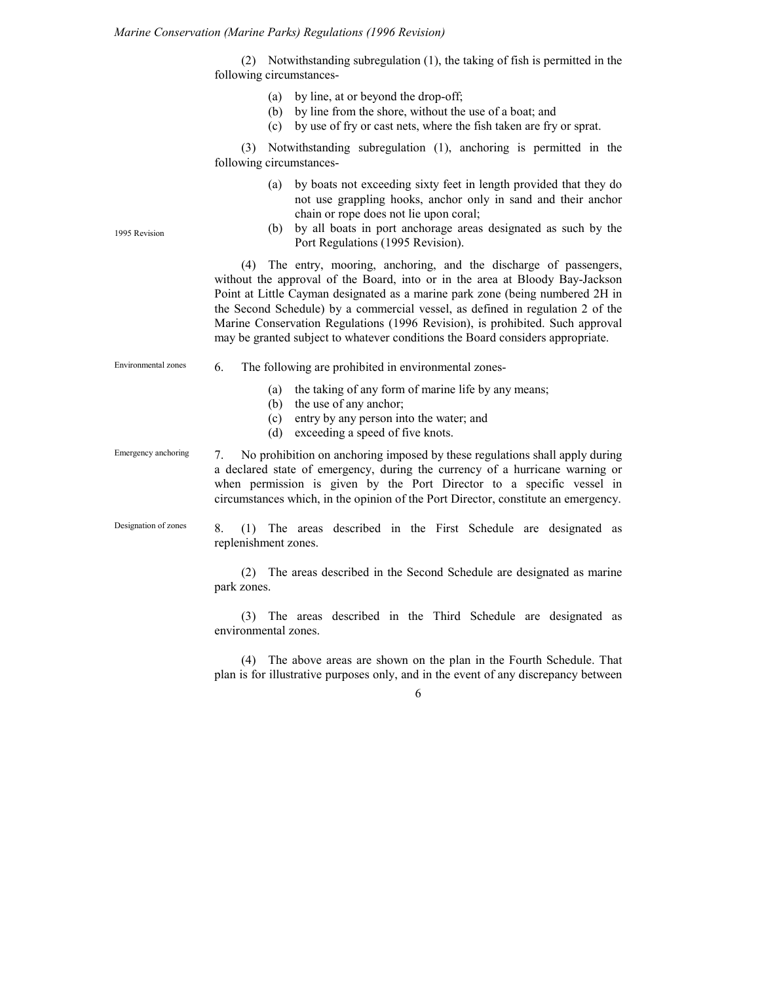(2) Notwithstanding subregulation (1), the taking of fish is permitted in the following circumstances-

- (a) by line, at or beyond the drop-off;
- (b) by line from the shore, without the use of a boat; and
- (c) by use of fry or cast nets, where the fish taken are fry or sprat.

(3) Notwithstanding subregulation (1), anchoring is permitted in the following circumstances-

- (a) by boats not exceeding sixty feet in length provided that they do not use grappling hooks, anchor only in sand and their anchor chain or rope does not lie upon coral;
- (b) by all boats in port anchorage areas designated as such by the Port Regulations (1995 Revision).

(4) The entry, mooring, anchoring, and the discharge of passengers, without the approval of the Board, into or in the area at Bloody Bay-Jackson Point at Little Cayman designated as a marine park zone (being numbered 2H in the Second Schedule) by a commercial vessel, as defined in regulation 2 of the Marine Conservation Regulations (1996 Revision), is prohibited. Such approval may be granted subject to whatever conditions the Board considers appropriate.

Environmental zones 6. The following are prohibited in environmental zones-

- (a) the taking of any form of marine life by any means;
- (b) the use of any anchor;
- (c) entry by any person into the water; and
- (d) exceeding a speed of five knots.
- Emergency anchoring 7. No prohibition on anchoring imposed by these regulations shall apply during a declared state of emergency, during the currency of a hurricane warning or when permission is given by the Port Director to a specific vessel in circumstances which, in the opinion of the Port Director, constitute an emergency.

Designation of zones

(1) The areas described in the First Schedule are designated as 8. replenishment zones.

(2) The areas described in the Second Schedule are designated as marine park zones.

(3) The areas described in the Third Schedule are designated as environmental zones.

(4) The above areas are shown on the plan in the Fourth Schedule. That plan is for illustrative purposes only, and in the event of any discrepancy between

6

1995 Revision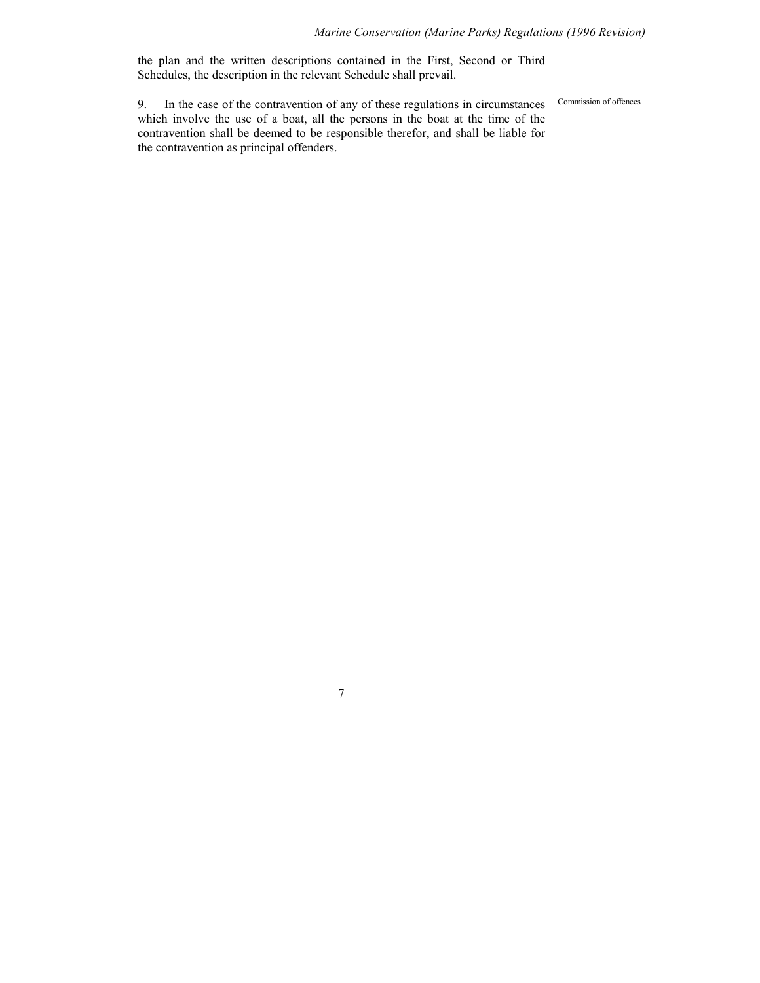the plan and the written descriptions contained in the First, Second or Third Schedules, the description in the relevant Schedule shall prevail.

9. In the case of the contravention of any of these regulations in circumstances Commission of offences which involve the use of a boat, all the persons in the boat at the time of the contravention shall be deemed to be responsible therefor, and shall be liable for the contravention as principal offenders.

 $\boldsymbol{7}$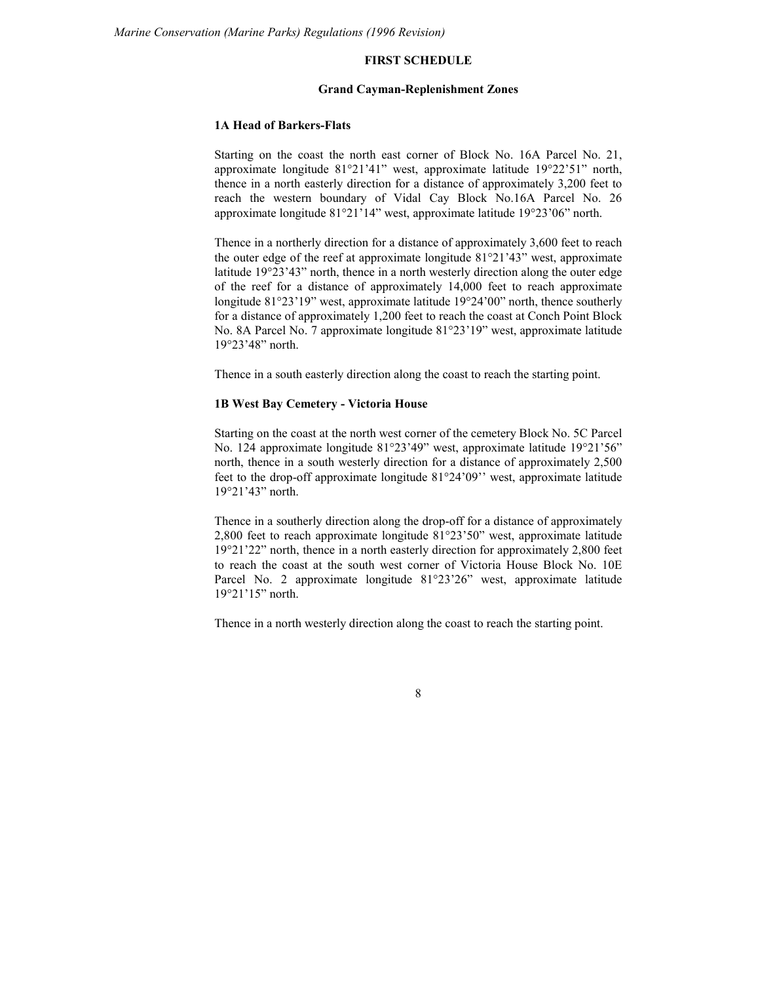## **FIRST SCHEDULE**

## **Grand Cayman-Replenishment Zones**

#### **1A Head of Barkers-Flats**

Starting on the coast the north east corner of Block No. 16A Parcel No. 21, approximate longitude 81°21'41" west, approximate latitude 19°22'51" north, thence in a north easterly direction for a distance of approximately 3,200 feet to reach the western boundary of Vidal Cay Block No.16A Parcel No. 26 approximate longitude  $81^{\circ}21'14''$  west, approximate latitude  $19^{\circ}23'06''$  north.

Thence in a northerly direction for a distance of approximately 3,600 feet to reach the outer edge of the reef at approximate longitude  $81^{\circ}21'43''$  west, approximate latitude 19°23'43" north, thence in a north westerly direction along the outer edge of the reef for a distance of approximately 14,000 feet to reach approximate longitude 81°23'19" west, approximate latitude 19°24'00" north, thence southerly for a distance of approximately 1,200 feet to reach the coast at Conch Point Block No. 8A Parcel No. 7 approximate longitude 81°23'19" west, approximate latitude 19°23'48" north.

Thence in a south easterly direction along the coast to reach the starting point.

#### 1B West Bay Cemetery - Victoria House

Starting on the coast at the north west corner of the cemetery Block No. 5C Parcel No. 124 approximate longitude  $81^{\circ}23'49''$  west, approximate latitude  $19^{\circ}21'56''$ north, thence in a south westerly direction for a distance of approximately 2,500 feet to the drop-off approximate longitude 81°24'09" west, approximate latitude 19°21'43" north.

Thence in a southerly direction along the drop-off for a distance of approximately 2,800 feet to reach approximate longitude  $81^{\circ}23'50''$  west, approximate latitude  $19^{\circ}21'22'$  north, thence in a north easterly direction for approximately 2,800 feet to reach the coast at the south west corner of Victoria House Block No. 10E Parcel No. 2 approximate longitude 81°23'26" west, approximate latitude 19°21'15" north.

Thence in a north westerly direction along the coast to reach the starting point.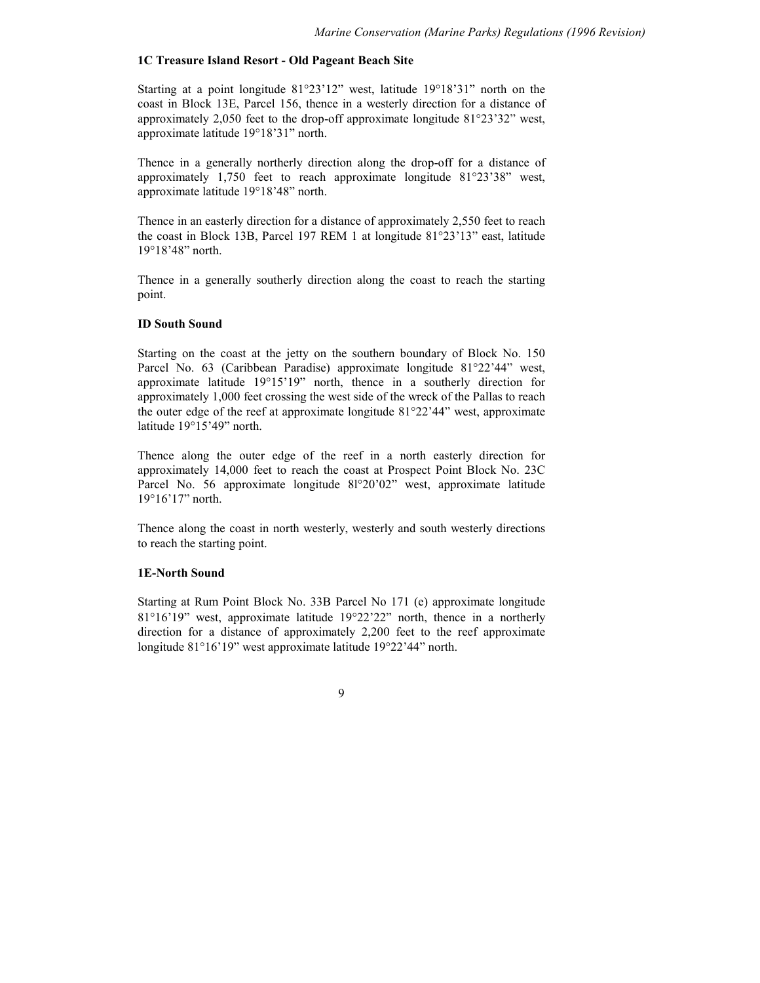## 1C Treasure Island Resort - Old Pageant Beach Site

Starting at a point longitude 81°23'12" west, latitude 19°18'31" north on the coast in Block 13E, Parcel 156, thence in a westerly direction for a distance of approximately 2,050 feet to the drop-off approximate longitude  $81^{\circ}23'32''$  west, approximate latitude 19°18'31" north.

Thence in a generally northerly direction along the drop-off for a distance of approximately 1,750 feet to reach approximate longitude 81°23'38" west, approximate latitude 19°18'48" north.

Thence in an easterly direction for a distance of approximately 2,550 feet to reach the coast in Block 13B, Parcel 197 REM 1 at longitude  $81^{\circ}23'13''$  east, latitude 19°18'48" north.

Thence in a generally southerly direction along the coast to reach the starting point.

#### **ID South Sound**

Starting on the coast at the jetty on the southern boundary of Block No. 150 Parcel No. 63 (Caribbean Paradise) approximate longitude 81°22'44" west, approximate latitude 19°15'19" north, thence in a southerly direction for approximately 1,000 feet crossing the west side of the wreck of the Pallas to reach the outer edge of the reef at approximate longitude  $81^{\circ}22^{\prime}44^{\prime\prime}$  west, approximate latitude 19°15'49" north.

Thence along the outer edge of the reef in a north easterly direction for approximately 14,000 feet to reach the coast at Prospect Point Block No. 23C Parcel No. 56 approximate longitude 81°20'02" west, approximate latitude 19°16'17" north.

Thence along the coast in north westerly, westerly and south westerly directions to reach the starting point.

#### **1E-North Sound**

Starting at Rum Point Block No. 33B Parcel No 171 (e) approximate longitude  $81^{\circ}16'19''$  west, approximate latitude  $19^{\circ}22'22''$  north, thence in a northerly direction for a distance of approximately 2,200 feet to the reef approximate longitude 81°16'19" west approximate latitude 19°22'44" north.

 $\overline{Q}$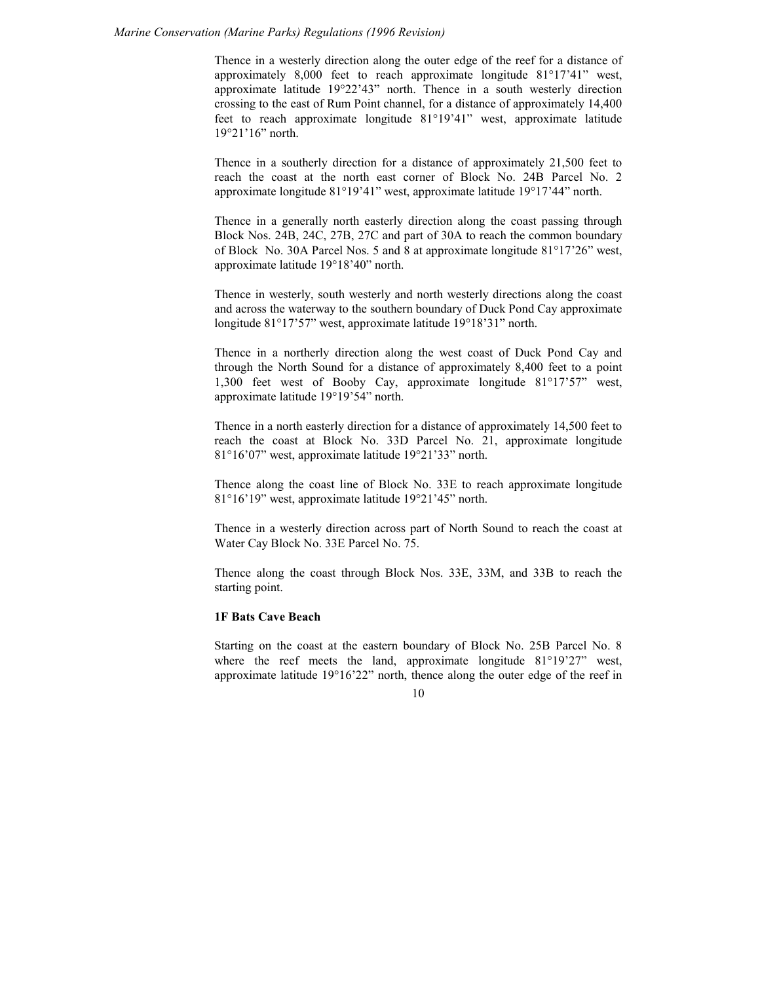Thence in a westerly direction along the outer edge of the reef for a distance of approximately 8,000 feet to reach approximate longitude  $81^{\circ}17'41''$  west, approximate latitude 19°22'43" north. Thence in a south westerly direction crossing to the east of Rum Point channel, for a distance of approximately 14,400 feet to reach approximate longitude 81°19'41" west, approximate latitude  $19°21'16"$  north.

Thence in a southerly direction for a distance of approximately 21,500 feet to reach the coast at the north east corner of Block No. 24B Parcel No. 2 approximate longitude 81°19'41" west, approximate latitude 19°17'44" north.

Thence in a generally north easterly direction along the coast passing through Block Nos. 24B, 24C, 27B, 27C and part of 30A to reach the common boundary of Block No. 30A Parcel Nos. 5 and 8 at approximate longitude 81°17'26" west, approximate latitude 19°18'40" north.

Thence in westerly, south westerly and north westerly directions along the coast and across the waterway to the southern boundary of Duck Pond Cay approximate longitude  $81^{\circ}17'57''$  west, approximate latitude  $19^{\circ}18'31''$  north.

Thence in a northerly direction along the west coast of Duck Pond Cay and through the North Sound for a distance of approximately 8,400 feet to a point 1,300 feet west of Booby Cay, approximate longitude 81°17'57" west, approximate latitude 19°19'54" north.

Thence in a north easterly direction for a distance of approximately 14,500 feet to reach the coast at Block No. 33D Parcel No. 21, approximate longitude 81°16'07" west, approximate latitude 19°21'33" north.

Thence along the coast line of Block No. 33E to reach approximate longitude 81°16'19" west, approximate latitude 19°21'45" north.

Thence in a westerly direction across part of North Sound to reach the coast at Water Cay Block No. 33E Parcel No. 75.

Thence along the coast through Block Nos. 33E, 33M, and 33B to reach the starting point.

#### **1F Bats Cave Beach**

Starting on the coast at the eastern boundary of Block No. 25B Parcel No. 8 where the reef meets the land, approximate longitude 81°19'27" west, approximate latitude 19°16'22" north, thence along the outer edge of the reef in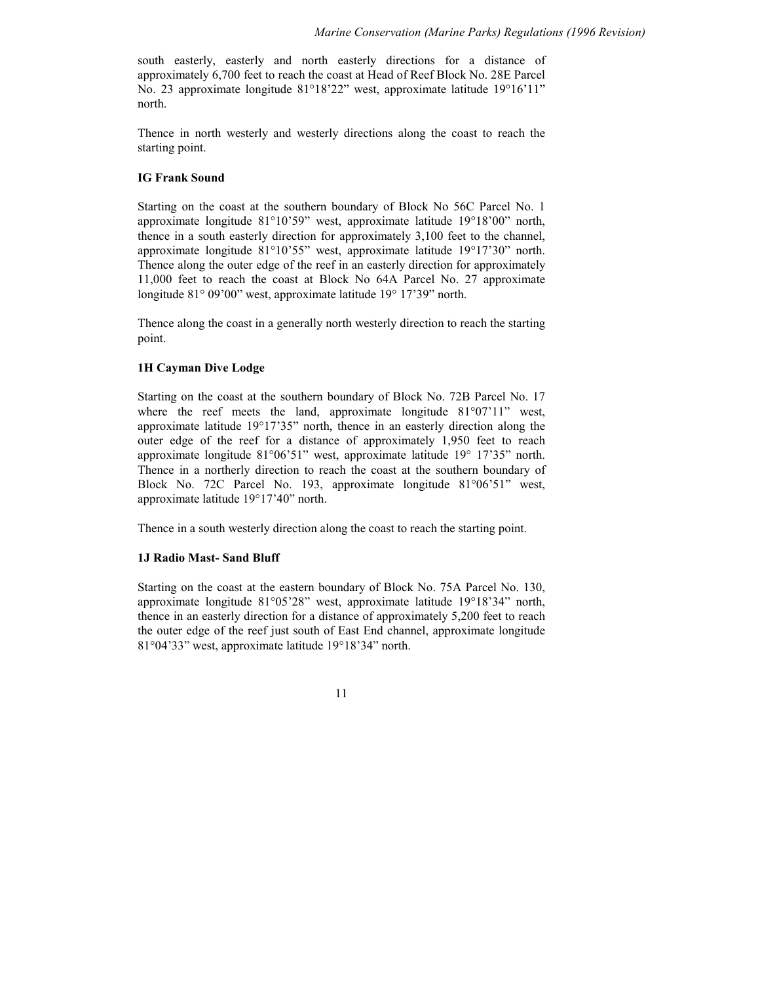south easterly, easterly and north easterly directions for a distance of approximately 6,700 feet to reach the coast at Head of Reef Block No. 28E Parcel No. 23 approximate longitude 81°18'22" west, approximate latitude 19°16'11" north.

Thence in north westerly and westerly directions along the coast to reach the starting point.

# **IG Frank Sound**

Starting on the coast at the southern boundary of Block No 56C Parcel No. 1 approximate longitude 81°10'59" west, approximate latitude 19°18'00" north, thence in a south easterly direction for approximately 3,100 feet to the channel, approximate longitude 81°10'55" west, approximate latitude 19°17'30" north. Thence along the outer edge of the reef in an easterly direction for approximately 11,000 feet to reach the coast at Block No 64A Parcel No. 27 approximate longitude 81° 09'00" west, approximate latitude 19° 17'39" north.

Thence along the coast in a generally north westerly direction to reach the starting point.

# 1H Cayman Dive Lodge

Starting on the coast at the southern boundary of Block No. 72B Parcel No. 17 where the reef meets the land, approximate longitude  $81^{\circ}07'11''$  west, approximate latitude 19°17'35" north, thence in an easterly direction along the outer edge of the reef for a distance of approximately 1,950 feet to reach approximate longitude  $81^{\circ}06'51'$  west, approximate latitude  $19^{\circ}$  17'35" north. Thence in a northerly direction to reach the coast at the southern boundary of Block No. 72C Parcel No. 193, approximate longitude 81°06'51" west, approximate latitude 19°17'40" north.

Thence in a south westerly direction along the coast to reach the starting point.

#### **1J Radio Mast-Sand Bluff**

Starting on the coast at the eastern boundary of Block No. 75A Parcel No. 130, approximate longitude 81°05'28" west, approximate latitude 19°18'34" north, thence in an easterly direction for a distance of approximately 5,200 feet to reach the outer edge of the reef just south of East End channel, approximate longitude 81°04'33" west, approximate latitude 19°18'34" north.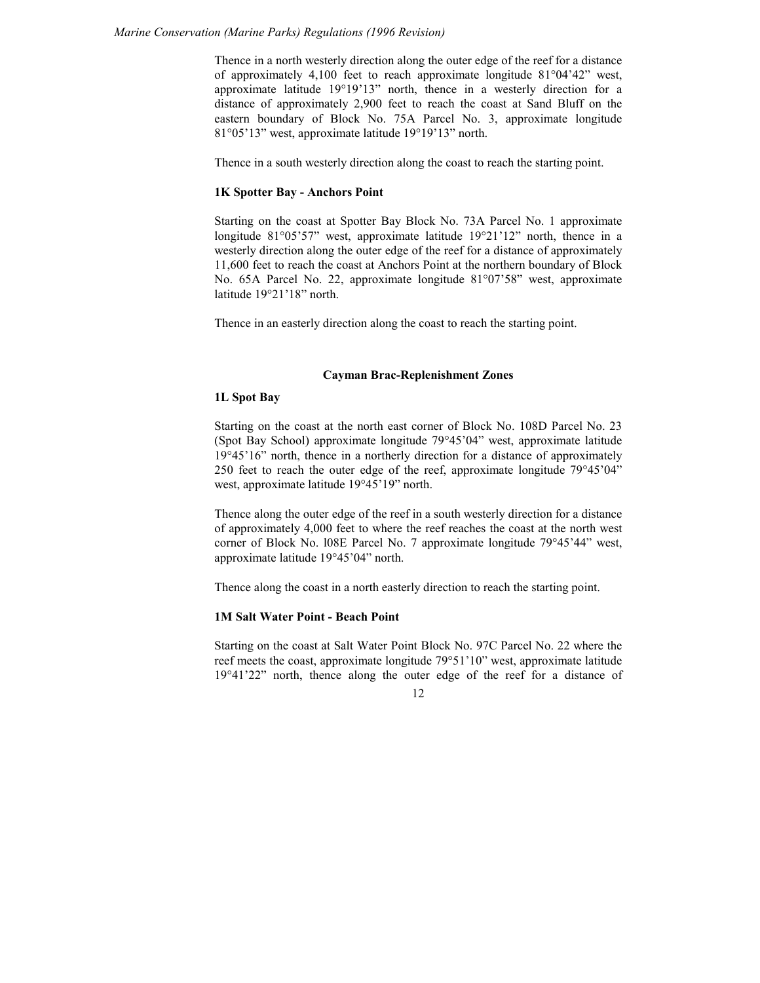Thence in a north westerly direction along the outer edge of the reef for a distance of approximately 4,100 feet to reach approximate longitude  $81^{\circ}04'42''$  west, approximate latitude  $19^{\circ}19'13''$  north, thence in a westerly direction for a distance of approximately 2,900 feet to reach the coast at Sand Bluff on the eastern boundary of Block No. 75A Parcel No. 3, approximate longitude  $81°05'13"$  west, approximate latitude  $19°19'13"$  north.

Thence in a south westerly direction along the coast to reach the starting point.

### **1K Spotter Bay - Anchors Point**

Starting on the coast at Spotter Bay Block No. 73A Parcel No. 1 approximate longitude  $81^{\circ}05'57''$  west, approximate latitude  $19^{\circ}21'12''$  north, thence in a westerly direction along the outer edge of the reef for a distance of approximately 11,600 feet to reach the coast at Anchors Point at the northern boundary of Block No. 65A Parcel No. 22, approximate longitude 81°07'58" west, approximate latitude 19°21'18" north.

Thence in an easterly direction along the coast to reach the starting point.

## $Cayman Barc-Replenishment Zones$

## **1L** Spot Bay

Starting on the coast at the north east corner of Block No. 108D Parcel No. 23 (Spot Bay School) approximate longitude  $79^{\circ}45'04''$  west, approximate latitude  $19°45'16"$  north, thence in a northerly direction for a distance of approximately 250 feet to reach the outer edge of the reef, approximate longitude  $79^{\circ}45^{\prime}04"$ west, approximate latitude  $19°45'19"$  north.

Thence along the outer edge of the reef in a south westerly direction for a distance of approximately  $4,000$  feet to where the reef reaches the coast at the north west corner of Block No. 108E Parcel No. 7 approximate longitude  $79^{\circ}45'44''$  west, approximate latitude 19°45'04" north.

Thence along the coast in a north easterly direction to reach the starting point.

# **1M Salt Water Point - Beach Point**

Starting on the coast at Salt Water Point Block No. 97C Parcel No. 22 where the reef meets the coast, approximate longitude 79°51'10" west, approximate latitude 19°41'22" north, thence along the outer edge of the reef for a distance of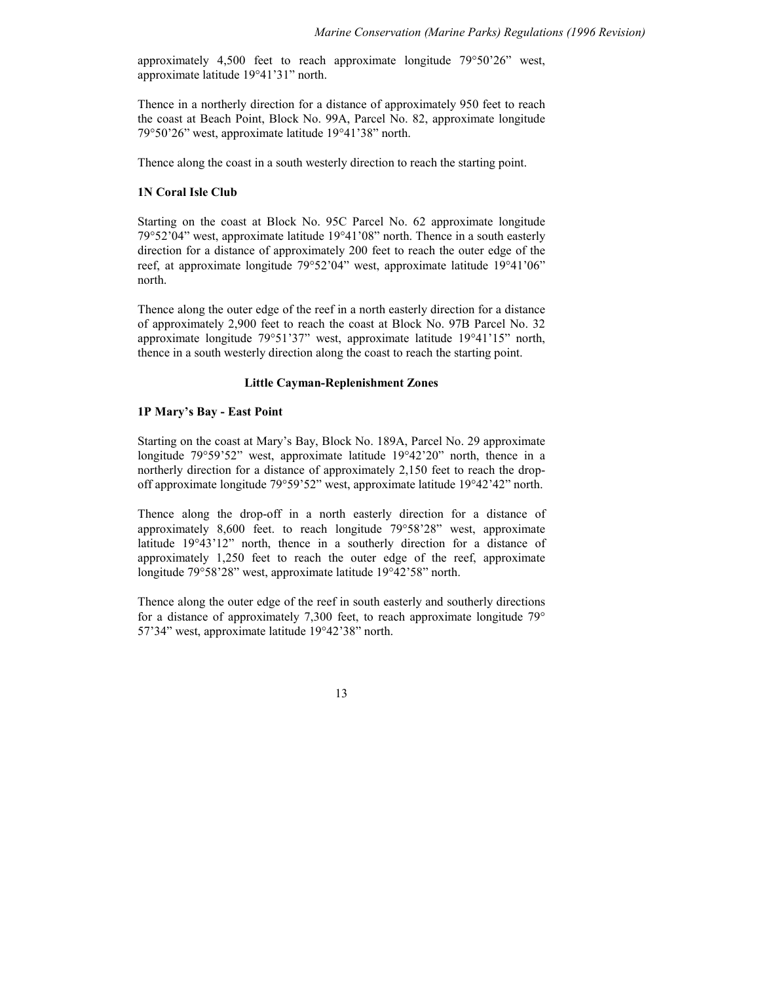approximately 4,500 feet to reach approximate longitude 79°50'26" west, approximate latitude 19°41'31" north.

Thence in a northerly direction for a distance of approximately 950 feet to reach the coast at Beach Point, Block No. 99A, Parcel No. 82, approximate longitude 79°50'26" west, approximate latitude 19°41'38" north.

Thence along the coast in a south westerly direction to reach the starting point.

#### **1N Coral Isle Club**

Starting on the coast at Block No. 95C Parcel No. 62 approximate longitude  $79^{\circ}52'04''$  west, approximate latitude  $19^{\circ}41'08''$  north. Thence in a south easterly direction for a distance of approximately 200 feet to reach the outer edge of the reef, at approximate longitude 79°52'04" west, approximate latitude 19°41'06" north.

Thence along the outer edge of the reef in a north easterly direction for a distance of approximately 2,900 feet to reach the coast at Block No. 97B Parcel No. 32 approximate longitude 79°51'37" west, approximate latitude 19°41'15" north, thence in a south westerly direction along the coast to reach the starting point.

## **Little Cayman-Replenishment Zones**

#### 1P Mary's Bay - East Point

Starting on the coast at Mary's Bay, Block No. 189A, Parcel No. 29 approximate longitude 79°59'52" west, approximate latitude 19°42'20" north, thence in a northerly direction for a distance of approximately 2,150 feet to reach the dropoff approximate longitude 79°59'52" west, approximate latitude 19°42'42" north.

Thence along the drop-off in a north easterly direction for a distance of approximately 8,600 feet. to reach longitude 79°58'28" west, approximate latitude  $19^{\circ}43'12''$  north, thence in a southerly direction for a distance of approximately 1,250 feet to reach the outer edge of the reef, approximate longitude 79°58'28" west, approximate latitude 19°42'58" north.

Thence along the outer edge of the reef in south easterly and southerly directions for a distance of approximately 7,300 feet, to reach approximate longitude  $79^{\circ}$ 57'34" west, approximate latitude 19°42'38" north.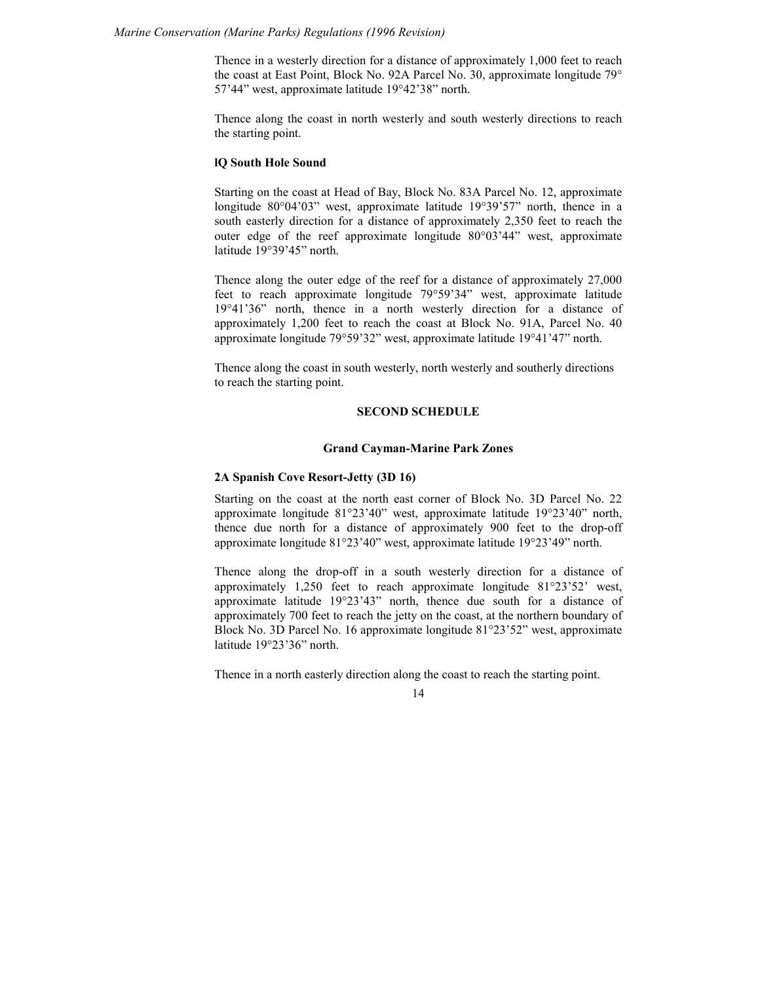Thence in a westerly direction for a distance of approximately 1,000 feet to reach the coast at East Point, Block No. 92A Parcel No. 30, approximate longitude 79° 57'44" west, approximate latitude 19°42'38" north.

Thence along the coast in north westerly and south westerly directions to reach the starting point.

## **IQ South Hole Sound**

Starting on the coast at Head of Bay, Block No. 83A Parcel No. 12, approximate longitude  $80^{\circ}04'03''$  west, approximate latitude  $19^{\circ}39'57''$  north, thence in a south easterly direction for a distance of approximately 2,350 feet to reach the outer edge of the reef approximate longitude 80°03'44" west, approximate latitude 19°39'45" north.

Thence along the outer edge of the reef for a distance of approximately 27,000 feet to reach approximate longitude 79°59'34" west, approximate latitude 19°41'36" north, thence in a north westerly direction for a distance of approximately 1,200 feet to reach the coast at Block No. 91A, Parcel No. 40 approximate longitude 79°59'32" west, approximate latitude 19°41'47" north.

Thence along the coast in south westerly, north westerly and southerly directions to reach the starting point.

## **SECOND SCHEDULE**

## **Grand Cayman-Marine Park Zones**

## 2A Spanish Cove Resort-Jetty (3D 16)

Starting on the coast at the north east corner of Block No. 3D Parcel No. 22 approximate longitude  $81^{\circ}23'40''$  west, approximate latitude  $19^{\circ}23'40''$  north, thence due north for a distance of approximately 900 feet to the drop-off approximate longitude 81°23'40" west, approximate latitude 19°23'49" north.

Thence along the drop-off in a south westerly direction for a distance of approximately 1,250 feet to reach approximate longitude 81°23'52' west, approximate latitude 19°23'43" north, thence due south for a distance of approximately 700 feet to reach the jetty on the coast, at the northern boundary of Block No. 3D Parcel No. 16 approximate longitude 81°23'52" west, approximate latitude 19°23'36" north.

Thence in a north easterly direction along the coast to reach the starting point.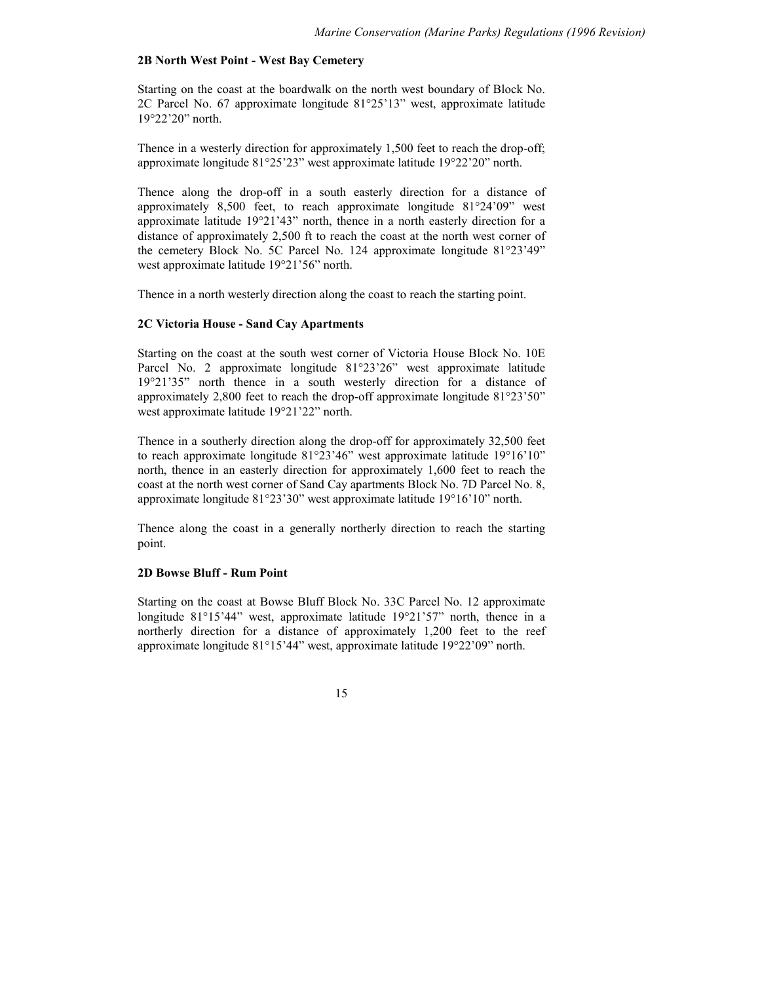## 2B North West Point - West Bay Cemetery

Starting on the coast at the boardwalk on the north west boundary of Block No. 2C Parcel No. 67 approximate longitude 81°25'13" west, approximate latitude  $19°22'20"$  north.

Thence in a westerly direction for approximately 1,500 feet to reach the drop-off; approximate longitude 81°25'23" west approximate latitude 19°22'20" north.

Thence along the drop-off in a south easterly direction for a distance of approximately 8.500 feet, to reach approximate longitude  $81^{\circ}24'09''$  west approximate latitude 19°21'43" north, thence in a north easterly direction for a distance of approximately 2,500 ft to reach the coast at the north west corner of the cemetery Block No. 5C Parcel No. 124 approximate longitude 81°23'49" west approximate latitude 19°21'56" north.

Thence in a north westerly direction along the coast to reach the starting point.

#### 2C Victoria House - Sand Cay Apartments

Starting on the coast at the south west corner of Victoria House Block No. 10E Parcel No. 2 approximate longitude 81°23'26" west approximate latitude 19°21'35" north thence in a south westerly direction for a distance of approximately 2,800 feet to reach the drop-off approximate longitude  $81^{\circ}23'50''$ west approximate latitude 19°21'22" north.

Thence in a southerly direction along the drop-off for approximately 32,500 feet to reach approximate longitude  $81^{\circ}23'46''$  west approximate latitude  $19^{\circ}16'10''$ north, thence in an easterly direction for approximately 1,600 feet to reach the coast at the north west corner of Sand Cay apartments Block No. 7D Parcel No. 8, approximate longitude  $81^{\circ}23'30''$  west approximate latitude  $19^{\circ}16'10''$  north.

Thence along the coast in a generally northerly direction to reach the starting point.

## 2D Bowse Bluff - Rum Point

Starting on the coast at Bowse Bluff Block No. 33C Parcel No. 12 approximate longitude  $81^{\circ}15'44''$  west, approximate latitude  $19^{\circ}21'57''$  north, thence in a northerly direction for a distance of approximately 1,200 feet to the reef approximate longitude 81°15'44" west, approximate latitude 19°22'09" north.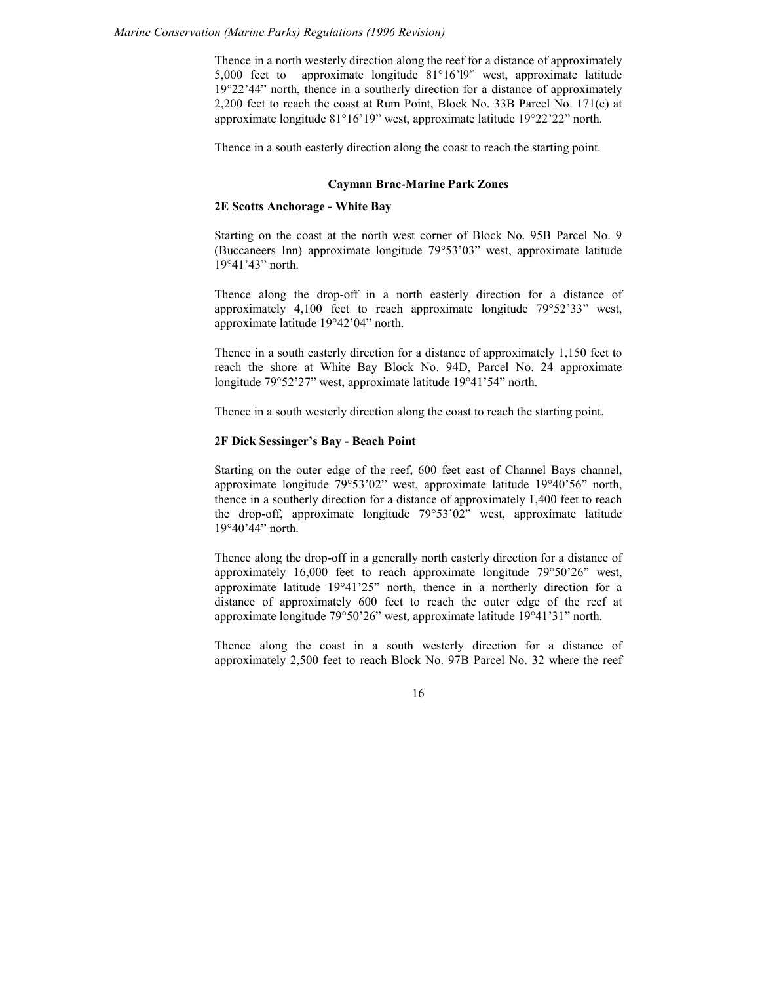Thence in a north westerly direction along the reef for a distance of approximately 5,000 feet to approximate longitude  $81^{\circ}16'19''$  west, approximate latitude 19°22'44" north, thence in a southerly direction for a distance of approximately 2,200 feet to reach the coast at Rum Point, Block No. 33B Parcel No. 171(e) at approximate longitude 81°16'19" west, approximate latitude 19°22'22" north.

Thence in a south easterly direction along the coast to reach the starting point.

#### **Cayman Brac-Marine Park Zones**

## 2E Scotts Anchorage - White Bay

Starting on the coast at the north west corner of Block No. 95B Parcel No. 9 (Buccaneers Inn) approximate longitude 79°53'03" west, approximate latitude 19°41'43" north.

Thence along the drop-off in a north easterly direction for a distance of approximately 4,100 feet to reach approximate longitude  $79^{\circ}52'33''$  west, approximate latitude 19°42'04" north.

Thence in a south easterly direction for a distance of approximately 1,150 feet to reach the shore at White Bay Block No. 94D, Parcel No. 24 approximate longitude 79°52'27" west, approximate latitude 19°41'54" north.

Thence in a south westerly direction along the coast to reach the starting point.

## 2F Dick Sessinger's Bay - Beach Point

Starting on the outer edge of the reef, 600 feet east of Channel Bays channel, approximate longitude 79°53'02" west, approximate latitude 19°40'56" north, thence in a southerly direction for a distance of approximately 1,400 feet to reach the drop-off, approximate longitude 79°53'02" west, approximate latitude  $19°40'44"$  north.

Thence along the drop-off in a generally north easterly direction for a distance of approximately 16,000 feet to reach approximate longitude 79°50'26" west, approximate latitude 19°41'25" north, thence in a northerly direction for a distance of approximately 600 feet to reach the outer edge of the reef at approximate longitude 79°50'26" west, approximate latitude 19°41'31" north.

Thence along the coast in a south westerly direction for a distance of approximately 2,500 feet to reach Block No. 97B Parcel No. 32 where the reef

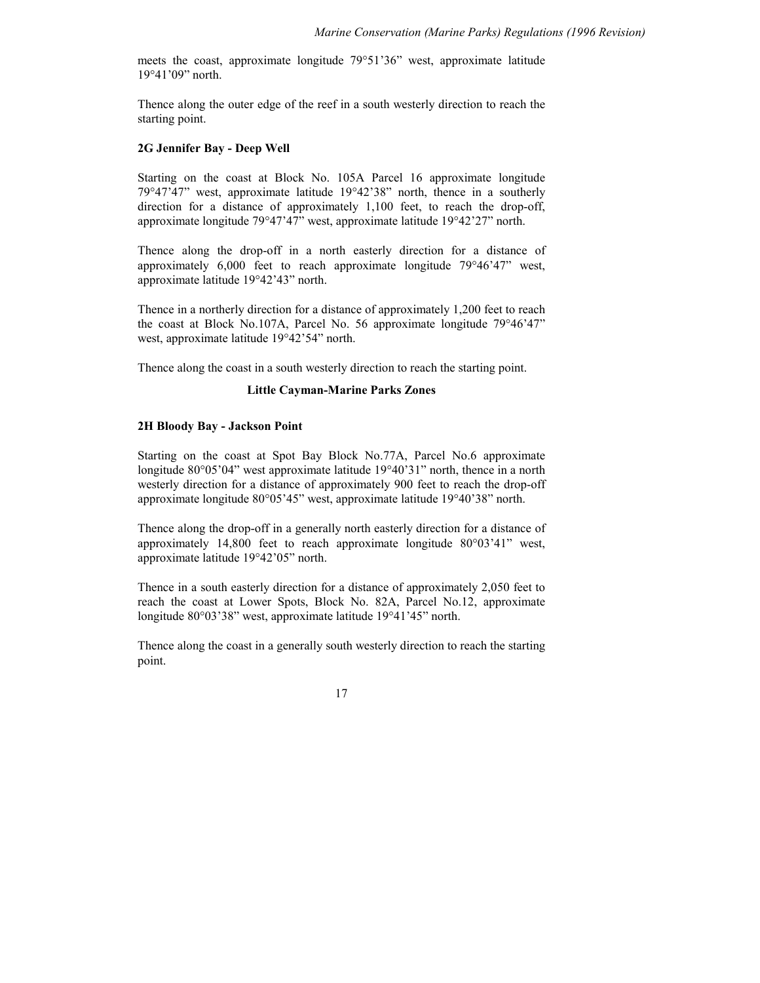meets the coast, approximate longitude 79°51'36" west, approximate latitude 19°41'09" north.

Thence along the outer edge of the reef in a south westerly direction to reach the starting point.

#### 2G Jennifer Bay - Deep Well

Starting on the coast at Block No. 105A Parcel 16 approximate longitude 79°47'47" west, approximate latitude 19°42'38" north, thence in a southerly direction for a distance of approximately 1,100 feet, to reach the drop-off, approximate longitude  $79^{\circ}47'47''$  west, approximate latitude  $19^{\circ}42'27''$  north.

Thence along the drop-off in a north easterly direction for a distance of approximately  $6,000$  feet to reach approximate longitude  $79^{\circ}46'47''$  west, approximate latitude 19°42'43" north.

Thence in a northerly direction for a distance of approximately 1,200 feet to reach the coast at Block No.107A, Parcel No. 56 approximate longitude  $79^{\circ}46'47''$ west, approximate latitude 19°42'54" north.

Thence along the coast in a south westerly direction to reach the starting point.

## **Little Cayman-Marine Parks Zones**

#### 2H Bloody Bay - Jackson Point

Starting on the coast at Spot Bay Block No.77A, Parcel No.6 approximate longitude  $80^{\circ}05'04''$  west approximate latitude  $19^{\circ}40'31''$  north, thence in a north westerly direction for a distance of approximately 900 feet to reach the drop-off approximate longitude 80°05'45" west, approximate latitude 19°40'38" north.

Thence along the drop-off in a generally north easterly direction for a distance of approximately 14,800 feet to reach approximate longitude  $80^{\circ}03'41''$  west, approximate latitude 19°42'05" north.

Thence in a south easterly direction for a distance of approximately 2,050 feet to reach the coast at Lower Spots, Block No. 82A, Parcel No.12, approximate longitude  $80^{\circ}03'38"$  west, approximate latitude  $19^{\circ}41'45"$  north.

Thence along the coast in a generally south westerly direction to reach the starting point.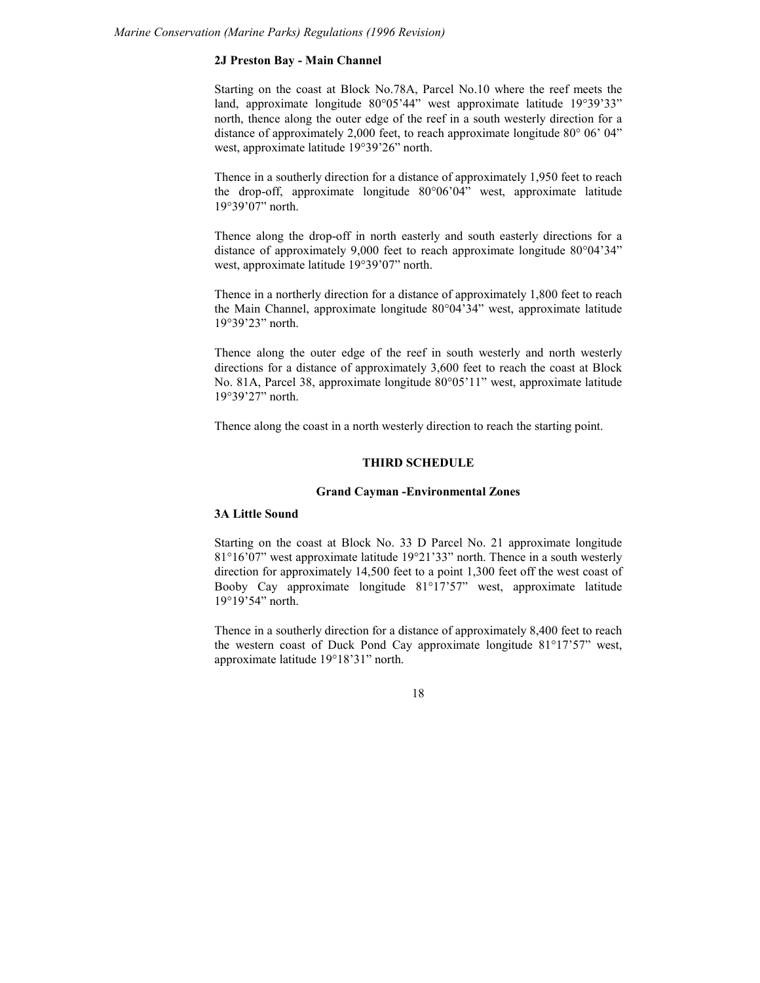# 2J Preston Bay - Main Channel

Starting on the coast at Block No.78A, Parcel No.10 where the reef meets the land, approximate longitude 80°05'44" west approximate latitude 19°39'33" north, thence along the outer edge of the reef in a south westerly direction for a distance of approximately 2,000 feet, to reach approximate longitude 80° 06' 04" west, approximate latitude 19°39'26" north.

Thence in a southerly direction for a distance of approximately 1,950 feet to reach the drop-off, approximate longitude 80°06'04" west, approximate latitude 19°39'07" north.

Thence along the drop-off in north easterly and south easterly directions for a distance of approximately 9,000 feet to reach approximate longitude 80°04'34" west, approximate latitude 19°39'07" north.

Thence in a northerly direction for a distance of approximately 1,800 feet to reach the Main Channel, approximate longitude 80°04'34" west, approximate latitude 19°39'23" north.

Thence along the outer edge of the reef in south westerly and north westerly directions for a distance of approximately 3,600 feet to reach the coast at Block No. 81A, Parcel 38, approximate longitude 80°05'11" west, approximate latitude 19°39'27" north.

Thence along the coast in a north westerly direction to reach the starting point.

## **THIRD SCHEDULE**

#### **Grand Cayman - Environmental Zones**

## **3A Little Sound**

Starting on the coast at Block No. 33 D Parcel No. 21 approximate longitude 81°16'07" west approximate latitude 19°21'33" north. Thence in a south westerly direction for approximately 14,500 feet to a point 1,300 feet off the west coast of Booby Cay approximate longitude 81°17'57" west, approximate latitude 19°19'54" north.

Thence in a southerly direction for a distance of approximately 8,400 feet to reach the western coast of Duck Pond Cay approximate longitude 81°17'57" west, approximate latitude 19°18'31" north.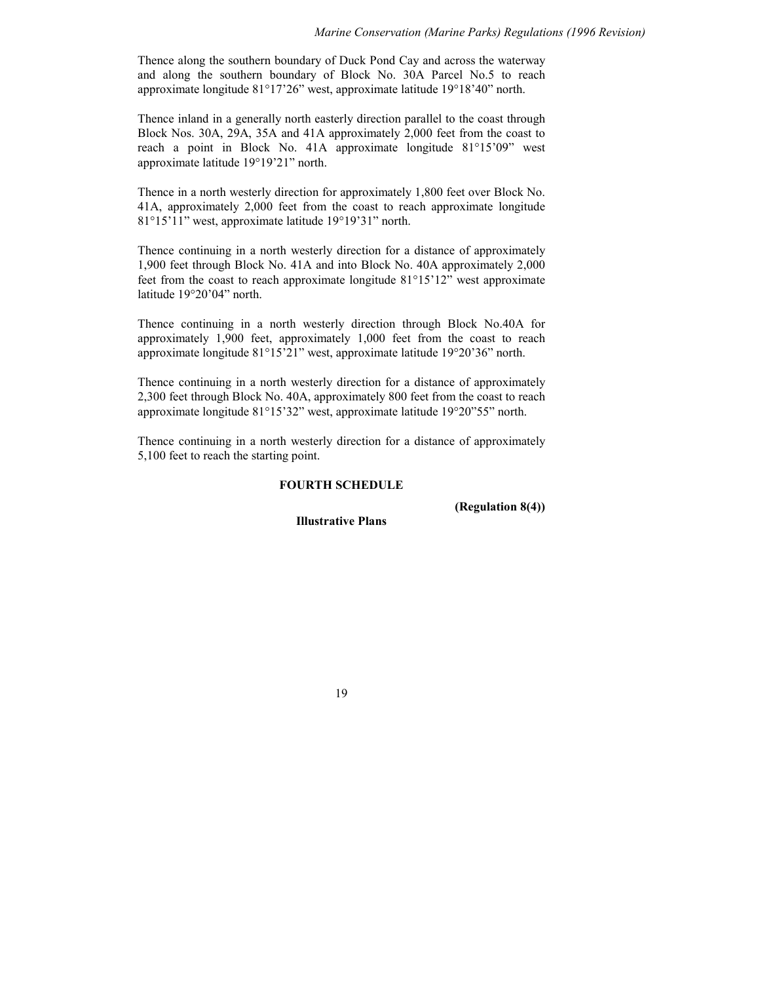Thence along the southern boundary of Duck Pond Cay and across the waterway and along the southern boundary of Block No. 30A Parcel No.5 to reach approximate longitude 81°17'26" west, approximate latitude 19°18'40" north.

Thence inland in a generally north easterly direction parallel to the coast through Block Nos. 30A, 29A, 35A and 41A approximately 2,000 feet from the coast to reach a point in Block No. 41A approximate longitude 81°15'09" west approximate latitude 19°19'21" north.

Thence in a north westerly direction for approximately 1,800 feet over Block No. 41A, approximately 2,000 feet from the coast to reach approximate longitude 81°15'11" west, approximate latitude 19°19'31" north.

Thence continuing in a north westerly direction for a distance of approximately 1,900 feet through Block No. 41A and into Block No. 40A approximately 2,000 feet from the coast to reach approximate longitude 81°15'12" west approximate latitude 19°20'04" north.

Thence continuing in a north westerly direction through Block No.40A for approximately 1,900 feet, approximately 1,000 feet from the coast to reach approximate longitude 81°15'21" west, approximate latitude 19°20'36" north.

Thence continuing in a north westerly direction for a distance of approximately 2,300 feet through Block No. 40A, approximately 800 feet from the coast to reach approximate longitude 81°15'32" west, approximate latitude 19°20"55" north.

Thence continuing in a north westerly direction for a distance of approximately 5,100 feet to reach the starting point.

## **FOURTH SCHEDULE**

 $(Regularion 8(4))$ 

**Illustrative Plans**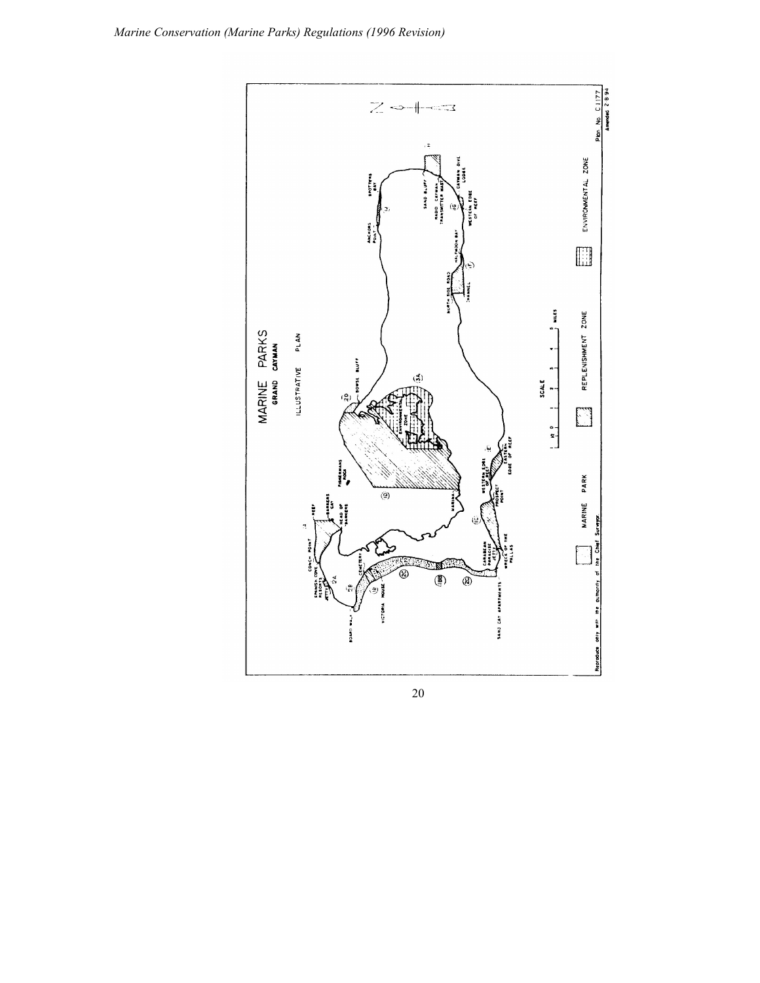

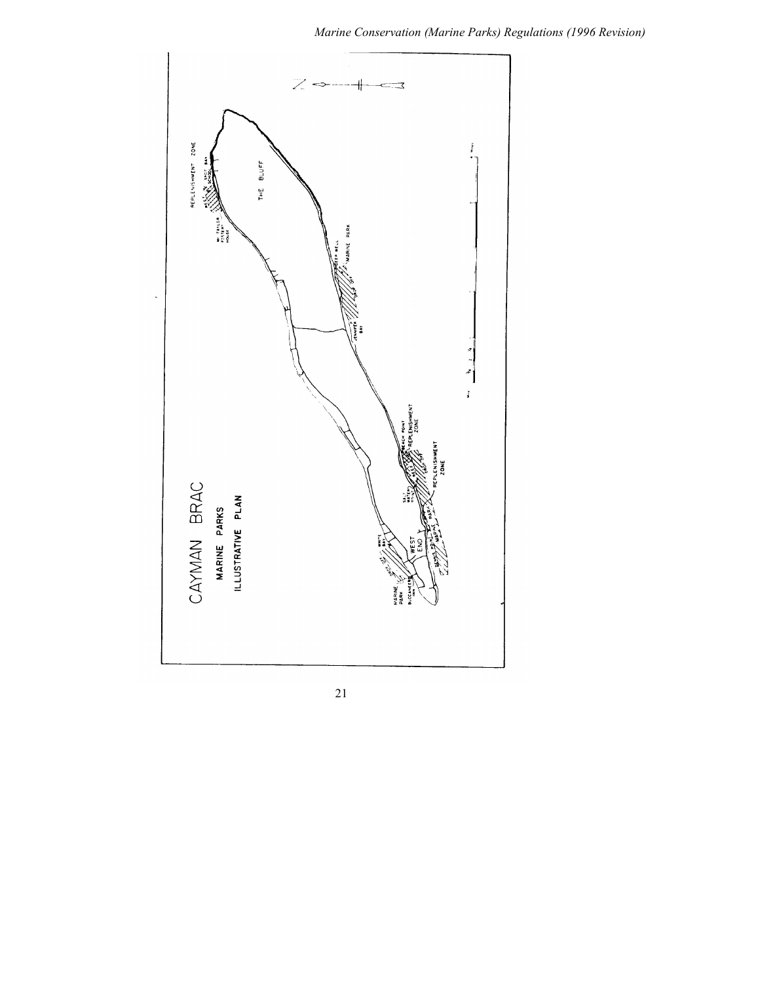

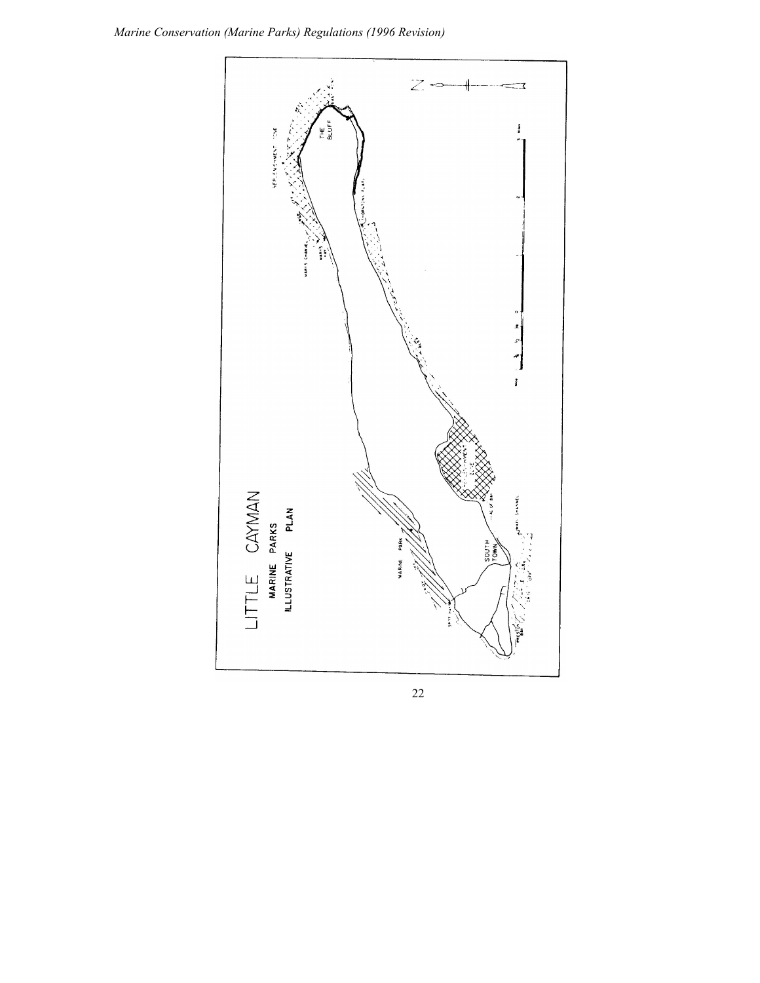

 $22$